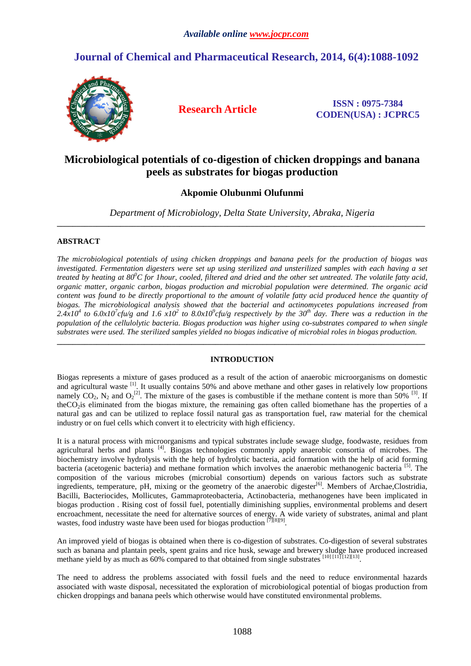# **Journal of Chemical and Pharmaceutical Research, 2014, 6(4):1088-1092**



**Research Article ISSN : 0975-7384 CODEN(USA) : JCPRC5**

## **Microbiological potentials of co-digestion of chicken droppings and banana peels as substrates for biogas production**

## **Akpomie Olubunmi Olufunmi**

*Department of Microbiology, Delta State University, Abraka, Nigeria*  **\_\_\_\_\_\_\_\_\_\_\_\_\_\_\_\_\_\_\_\_\_\_\_\_\_\_\_\_\_\_\_\_\_\_\_\_\_\_\_\_\_\_\_\_\_\_\_\_\_\_\_\_\_\_\_\_\_\_\_\_\_\_\_\_\_\_\_\_\_\_\_\_\_\_\_\_\_\_\_\_\_\_\_\_\_\_\_\_\_\_\_\_\_** 

### **ABSTRACT**

*The microbiological potentials of using chicken droppings and banana peels for the production of biogas was investigated. Fermentation digesters were set up using sterilized and unsterilized samples with each having a set treated by heating at 80<sup>0</sup>C for 1hour, cooled, filtered and dried and the other set untreated. The volatile fatty acid, organic matter, organic carbon, biogas production and microbial population were determined. The organic acid content was found to be directly proportional to the amount of volatile fatty acid produced hence the quantity of biogas. The microbiological analysis showed that the bacterial and actinomycetes populations increased from*   $2.4x10^4$  to  $6.0x10^7$ cfu/g and  $1.6 \times 10^2$  to  $8.0x10^9$ cfu/g respectively by the  $30^{th}$  day. There was a reduction in the *population of the cellulolytic bacteria. Biogas production was higher using co-substrates compared to when single substrates were used. The sterilized samples yielded no biogas indicative of microbial roles in biogas production.*  **\_\_\_\_\_\_\_\_\_\_\_\_\_\_\_\_\_\_\_\_\_\_\_\_\_\_\_\_\_\_\_\_\_\_\_\_\_\_\_\_\_\_\_\_\_\_\_\_\_\_\_\_\_\_\_\_\_\_\_\_\_\_\_\_\_\_\_\_\_\_\_\_\_\_\_\_\_\_\_\_\_\_\_\_\_\_\_\_\_\_\_\_\_** 

### **INTRODUCTION**

Biogas represents a mixture of gases produced as a result of the action of anaerobic microorganisms on domestic and agricultural waste <sup>[1]</sup>. It usually contains 50% and above methane and other gases in relatively low proportions namely  $CO_2$ ,  $N_2$  and  $O_2^{[2]}$ . The mixture of the gases is combustible if the methane content is more than 50% <sup>[3]</sup>. If theCO<sub>2</sub>is eliminated from the biogas mixture, the remaining gas often called biomethane has the properties of a natural gas and can be utilized to replace fossil natural gas as transportation fuel, raw material for the chemical industry or on fuel cells which convert it to electricity with high efficiency.

It is a natural process with microorganisms and typical substrates include sewage sludge, foodwaste, residues from agricultural herbs and plants <sup>[4]</sup>. Biogas technologies commonly apply anaerobic consortia of microbes. The biochemistry involve hydrolysis with the help of hydrolytic bacteria, acid formation with the help of acid forming bacteria (acetogenic bacteria) and methane formation which involves the anaerobic methanogenic bacteria [5]. The composition of the various microbes (microbial consortium) depends on various factors such as substrate ingredients, temperature, pH, mixing or the geometry of the anaerobic digester<sup>[6]</sup>. Members of Archae,Clostridia, Bacilli, Bacteriocides, Mollicutes, Gammaproteobacteria, Actinobacteria, methanogenes have been implicated in biogas production . Rising cost of fossil fuel, potentially diminishing supplies, environmental problems and desert encroachment, necessitate the need for alternative sources of energy. A wide variety of substrates, animal and plant wastes, food industry waste have been used for biogas production <sup>[7][8][9]</sup>.

An improved yield of biogas is obtained when there is co-digestion of substrates. Co-digestion of several substrates such as banana and plantain peels, spent grains and rice husk, sewage and brewery sludge have produced increased methane yield by as much as 60% compared to that obtained from single substrates [10] [11] [12][13].

The need to address the problems associated with fossil fuels and the need to reduce environmental hazards associated with waste disposal, necessitated the exploration of microbiological potential of biogas production from chicken droppings and banana peels which otherwise would have constituted environmental problems.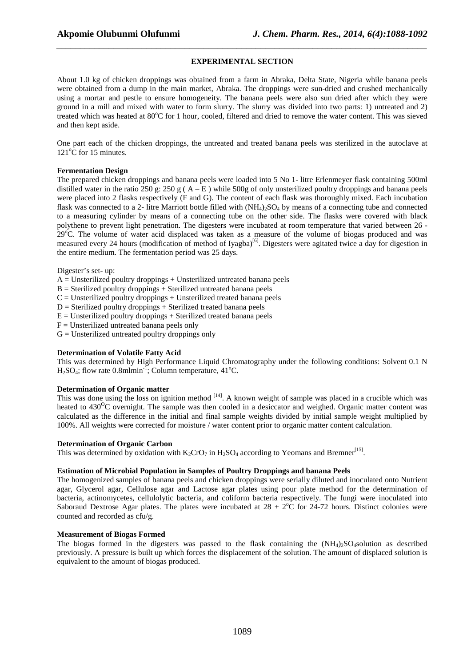#### **EXPERIMENTAL SECTION**

*\_\_\_\_\_\_\_\_\_\_\_\_\_\_\_\_\_\_\_\_\_\_\_\_\_\_\_\_\_\_\_\_\_\_\_\_\_\_\_\_\_\_\_\_\_\_\_\_\_\_\_\_\_\_\_\_\_\_\_\_\_\_\_\_\_\_\_\_\_\_\_\_\_\_\_\_\_\_*

About 1.0 kg of chicken droppings was obtained from a farm in Abraka, Delta State, Nigeria while banana peels were obtained from a dump in the main market, Abraka. The droppings were sun-dried and crushed mechanically using a mortar and pestle to ensure homogeneity. The banana peels were also sun dried after which they were ground in a mill and mixed with water to form slurry. The slurry was divided into two parts: 1) untreated and 2) treated which was heated at 80°C for 1 hour, cooled, filtered and dried to remove the water content. This was sieved and then kept aside.

One part each of the chicken droppings, the untreated and treated banana peels was sterilized in the autoclave at  $121^{\circ}$ C for 15 minutes.

#### **Fermentation Design**

The prepared chicken droppings and banana peels were loaded into 5 No 1- litre Erlenmeyer flask containing 500ml distilled water in the ratio 250 g: 250 g ( $A - E$ ) while 500g of only unsterilized poultry droppings and banana peels were placed into 2 flasks respectively (F and G). The content of each flask was thoroughly mixed. Each incubation flask was connected to a 2- litre Marriott bottle filled with  $(NH_4)_2SO_4$  by means of a connecting tube and connected to a measuring cylinder by means of a connecting tube on the other side. The flasks were covered with black polythene to prevent light penetration. The digesters were incubated at room temperature that varied between 26 - 29<sup>o</sup>C. The volume of water acid displaced was taken as a measure of the volume of biogas produced and was measured every 24 hours (modification of method of Iyagba)<sup>[6]</sup>. Digesters were agitated twice a day for digestion in the entire medium. The fermentation period was 25 days.

Digester's set- up:

 $A =$  Unsterilized poultry droppings  $+$  Unsterilized untreated banana peels

 $B =$  Sterilized poultry droppings  $+$  Sterilized untreated banana peels

 $C =$  Unsterilized poultry droppings  $+$  Unsterilized treated banana peels

 $D =$  Sterilized poultry droppings  $+$  Sterilized treated banana peels

 $E =$  Unsterilized poultry droppings  $+$  Sterilized treated banana peels

 $F =$  Unsterilized untreated banana peels only

 $G =$  Unsterilized untreated poultry droppings only

#### **Determination of Volatile Fatty Acid**

This was determined by High Performance Liquid Chromatography under the following conditions: Solvent 0.1 N H<sub>2</sub>SO<sub>4</sub>: flow rate  $0.8$ mlmin<sup>-1</sup>: Column temperature, 41<sup>o</sup>C.

#### **Determination of Organic matter**

This was done using the loss on ignition method <sup>[14]</sup>. A known weight of sample was placed in a crucible which was heated to  $430^{\circ}$ C overnight. The sample was then cooled in a desiccator and weighed. Organic matter content was calculated as the difference in the initial and final sample weights divided by initial sample weight multiplied by 100%. All weights were corrected for moisture / water content prior to organic matter content calculation.

#### **Determination of Organic Carbon**

This was determined by oxidation with  $K_2CrO_7$  in  $H_2SO_4$  according to Yeomans and Bremner<sup>[15]</sup>.

#### **Estimation of Microbial Population in Samples of Poultry Droppings and banana Peels**

The homogenized samples of banana peels and chicken droppings were serially diluted and inoculated onto Nutrient agar, Glycerol agar, Cellulose agar and Lactose agar plates using pour plate method for the determination of bacteria, actinomycetes, cellulolytic bacteria, and coliform bacteria respectively. The fungi were inoculated into Saboraud Dextrose Agar plates. The plates were incubated at  $28 \pm 2^{\circ}$ C for 24-72 hours. Distinct colonies were counted and recorded as cfu/g.

#### **Measurement of Biogas Formed**

The biogas formed in the digesters was passed to the flask containing the  $(NH_4)$ ,  $SO_4$ solution as described previously. A pressure is built up which forces the displacement of the solution. The amount of displaced solution is equivalent to the amount of biogas produced.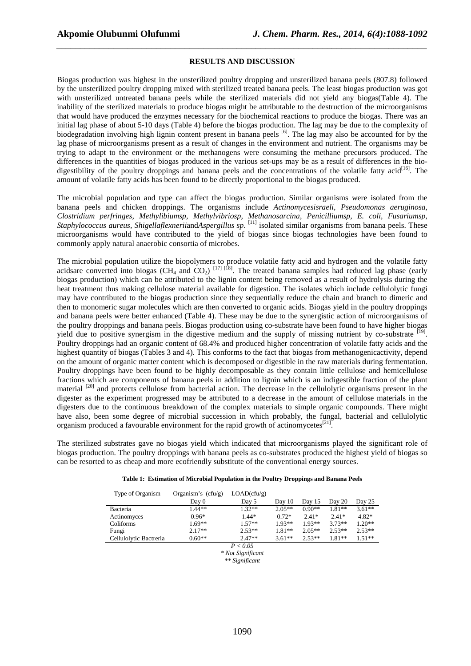#### **RESULTS AND DISCUSSION**

*\_\_\_\_\_\_\_\_\_\_\_\_\_\_\_\_\_\_\_\_\_\_\_\_\_\_\_\_\_\_\_\_\_\_\_\_\_\_\_\_\_\_\_\_\_\_\_\_\_\_\_\_\_\_\_\_\_\_\_\_\_\_\_\_\_\_\_\_\_\_\_\_\_\_\_\_\_\_*

Biogas production was highest in the unsterilized poultry dropping and unsterilized banana peels (807.8) followed by the unsterilized poultry dropping mixed with sterilized treated banana peels. The least biogas production was got with unsterilized untreated banana peels while the sterilized materials did not yield any biogas(Table 4). The inability of the sterilized materials to produce biogas might be attributable to the destruction of the microorganisms that would have produced the enzymes necessary for the biochemical reactions to produce the biogas. There was an initial lag phase of about 5-10 days (Table 4) before the biogas production. The lag may be due to the complexity of biodegradation involving high lignin content present in banana peels <sup>[6]</sup>. The lag may also be accounted for by the lag phase of microorganisms present as a result of changes in the environment and nutrient. The organisms may be trying to adapt to the environment or the methanogens were consuming the methane precursors produced. The differences in the quantities of biogas produced in the various set-ups may be as a result of differences in the biodigestibility of the poultry droppings and banana peels and the concentrations of the volatile fatty acid<sup>[16]</sup>. The amount of volatile fatty acids has been found to be directly proportional to the biogas produced.

The microbial population and type can affect the biogas production. Similar organisms were isolated from the banana peels and chicken droppings. The organisms include *Actinomycesisraeli, Pseudomonas aeruginosa, Clostridium perfringes, Methylibiumsp, Methylvibriosp, Methanosarcina, Penicilliumsp, E. coli, Fusariumsp, Staphylococcus aureus, Shigellaflexnerii*and*Aspergillus sp*. [11] isolated similar organisms from banana peels. These microorganisms would have contributed to the yield of biogas since biogas technologies have been found to commonly apply natural anaerobic consortia of microbes.

The microbial population utilize the biopolymers to produce volatile fatty acid and hydrogen and the volatile fatty acidsare converted into biogas (CH<sub>4</sub> and CO<sub>2</sub>)<sup>[17] [18]</sup>. The treated banana samples had reduced lag phase (early biogas production) which can be attributed to the lignin content being removed as a result of hydrolysis during the heat treatment thus making cellulose material available for digestion. The isolates which include cellulolytic fungi may have contributed to the biogas production since they sequentially reduce the chain and branch to dimeric and then to monomeric sugar molecules which are then converted to organic acids. Biogas yield in the poultry droppings and banana peels were better enhanced (Table 4). These may be due to the synergistic action of microorganisms of the poultry droppings and banana peels. Biogas production using co-substrate have been found to have higher biogas yield due to positive synergism in the digestive medium and the supply of missing nutrient by co-substrate <sup>[19]</sup>. Poultry droppings had an organic content of 68.4% and produced higher concentration of volatile fatty acids and the highest quantity of biogas (Tables 3 and 4). This conforms to the fact that biogas from methanogenicactivity, depend on the amount of organic matter content which is decomposed or digestible in the raw materials during fermentation. Poultry droppings have been found to be highly decomposable as they contain little cellulose and hemicellulose fractions which are components of banana peels in addition to lignin which is an indigestible fraction of the plant material <sup>[20]</sup> and protects cellulose from bacterial action. The decrease in the cellulolytic organisms present in the digester as the experiment progressed may be attributed to a decrease in the amount of cellulose materials in the digesters due to the continuous breakdown of the complex materials to simple organic compounds. There might have also, been some degree of microbial succession in which probably, the fungal, bacterial and cellulolytic organism produced a favourable environment for the rapid growth of actinomycetes<sup>[21]</sup>.

The sterilized substrates gave no biogas yield which indicated that microorganisms played the significant role of biogas production. The poultry droppings with banana peels as co-substrates produced the highest yield of biogas so can be resorted to as cheap and more ecofriendly substitute of the conventional energy sources.

|  |  |  | Table 1: Estimation of Microbial Population in the Poultry Droppings and Banana Peels |  |
|--|--|--|---------------------------------------------------------------------------------------|--|
|  |  |  |                                                                                       |  |

| Type of Organism       | Organism's $(cfu/g)$ | LOAD(cfu/g) |          |          |          |          |
|------------------------|----------------------|-------------|----------|----------|----------|----------|
|                        | Day 0                | Day 5       | Day 10   | Day 15   | Day 20   | Day 25   |
| <b>Bacteria</b>        | $1.44**$             | $1.32**$    | $2.05**$ | $0.90**$ | $1.81**$ | $3.61**$ |
| Actinomyces            | $0.96*$              | $1.44*$     | $0.72*$  | $2.41*$  | $2.41*$  | 4.82*    |
| Coliforms              | $1.69**$             | $1.57**$    | $1.93**$ | $1.93**$ | $3.73**$ | $1.20**$ |
| Fungi                  | $2.17**$             | $2.53**$    | $1.81**$ | $2.05**$ | $2.53**$ | $2.53**$ |
| Cellulolytic Bactreria | $0.60**$             | $2.47**$    | $3.61**$ | $2.53**$ | $1.81**$ | $1.51**$ |

 $P < 0.05$ *\* Not Significant* 

*\*\* Significant*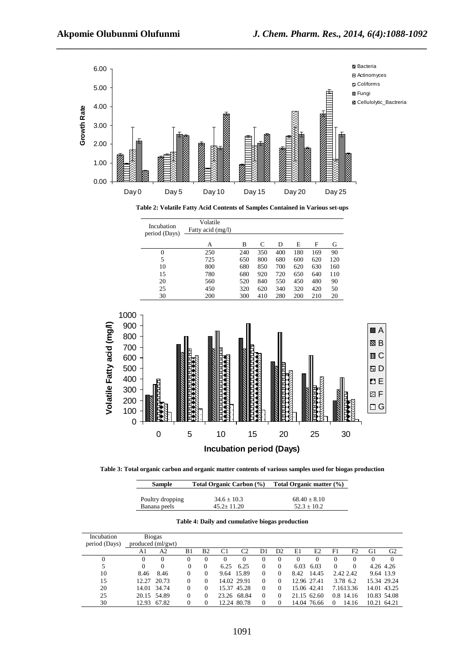

**Table 3: Total organic carbon and organic matter contents of various samples used for biogas production** 

| <b>Sample</b>    | <b>Total Organic Carbon</b> (%) | Total Organic matter (%) |  |  |  |  |
|------------------|---------------------------------|--------------------------|--|--|--|--|
| Poultry dropping | $34.6 \pm 10.3$                 | $68.40 \pm 8.10$         |  |  |  |  |
| Banana peels     | $45.2 + 11.20$                  | $52.3 + 10.2$            |  |  |  |  |

| Incubation    | <b>Biogas</b>     |             |          |                |      |                |          |                |          |             |           |           |             |                |
|---------------|-------------------|-------------|----------|----------------|------|----------------|----------|----------------|----------|-------------|-----------|-----------|-------------|----------------|
| period (Days) | produced (ml/gwt) |             |          |                |      |                |          |                |          |             |           |           |             |                |
|               | A1                | A2          | B1       | B <sub>2</sub> | C1   | C <sub>2</sub> | D1       | D <sub>2</sub> | E1       | E2          | F1        | F2        | G1          | G <sub>2</sub> |
|               | 0                 | $\Omega$    | 0        | $^{(1)}$       |      |                | 0        | $\theta$       | $^{(1)}$ | $_{0}$      |           |           |             | $\theta$       |
|               | 0                 | $\Omega$    | $\Omega$ | $\Omega$       | 6.25 | 6.25           | $\Omega$ | 0              | 6.03     | 6.03        | $\Omega$  | 0         | 4.26 4.26   |                |
| 10            | 8.46              | 8.46        | 0        | $\left($       |      | 9.64 15.89     | $\Omega$ | $^{O}$         | 8.42     | 14.45       | 2.42 2.42 |           | 9.64 13.9   |                |
| 15            | 12.27             | 20.73       | 0        | 0              |      | 14.02 29.91    | $\Omega$ | $^{O}$         |          | 12.96 27.41 | 3.78 6.2  |           |             | 15.34 29.24    |
| 20            |                   | 14.01 34.74 | 0        | $\Omega$       |      | 15.37 45.28    | $\Omega$ | $^{O}$         |          | 15.06 42.41 |           | 7.1613.36 |             | 14.01 43.25    |
| 25            |                   | 20.15 54.89 | 0        | $\Omega$       |      | 23.26 68.84    | $\Omega$ | 0              |          | 21.15 62.60 | 0.8 14.16 |           |             | 10.83 54.08    |
| 30            |                   | 12.93 67.82 | 0        |                |      | 12.24 80.78    | $\Omega$ | $^{O}$         |          | 14.04 76.66 | $\Omega$  | 14.16     | 10.21 64.21 |                |

**Table 4: Daily and cumulative biogas production**